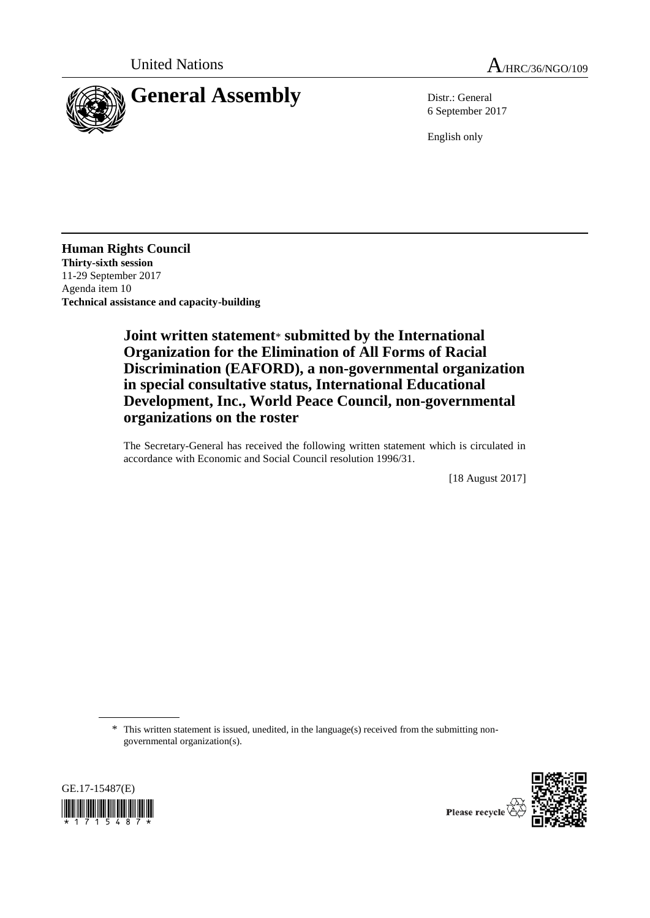



6 September 2017

English only

**Human Rights Council Thirty-sixth session** 11-29 September 2017 Agenda item 10 **Technical assistance and capacity-building**

> **Joint written statement**\* **submitted by the International Organization for the Elimination of All Forms of Racial Discrimination (EAFORD), a non-governmental organization in special consultative status, International Educational Development, Inc., World Peace Council, non-governmental organizations on the roster**

> The Secretary-General has received the following written statement which is circulated in accordance with Economic and Social Council resolution 1996/31.

> > [18 August 2017]

\* This written statement is issued, unedited, in the language(s) received from the submitting nongovernmental organization(s).



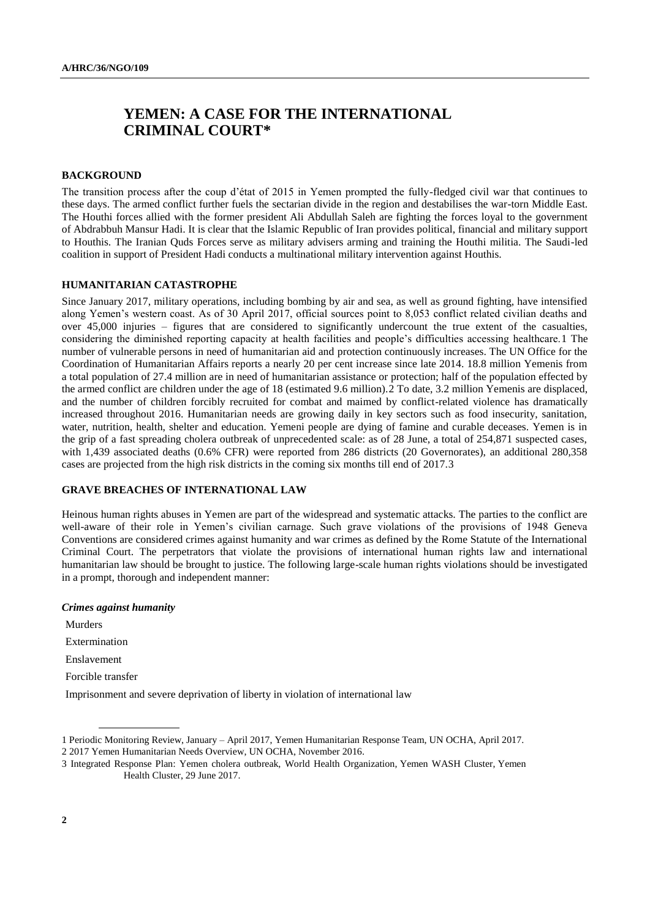# **YEMEN: A CASE FOR THE INTERNATIONAL CRIMINAL COURT\***

# **BACKGROUND**

The transition process after the coup d'état of 2015 in Yemen prompted the fully-fledged civil war that continues to these days. The armed conflict further fuels the sectarian divide in the region and destabilises the war-torn Middle East. The Houthi forces allied with the former president [Ali Abdullah Saleh](https://en.wikipedia.org/wiki/Ali_Abdullah_Saleh) are fighting the forces loyal to the government of [Abdrabbuh Mansur Hadi.](https://en.wikipedia.org/wiki/Abdrabbuh_Mansur_Hadi) It is clear that the Islamic Republic of Iran provides political, financial and military support to Houthis. The Iranian Quds Forces serve as military advisers arming and training the Houthi militia. The Saudi-led coalition in support of President Hadi conducts a multinational military intervention against Houthis.

#### **HUMANITARIAN CATASTROPHE**

Since January 2017, military operations, including bombing by air and sea, as well as ground fighting, have intensified along Yemen's western coast. As of 30 April 2017, official sources point to 8,053 conflict related civilian deaths and over 45,000 injuries – figures that are considered to significantly undercount the true extent of the casualties, considering the diminished reporting capacity at health facilities and people's difficulties accessing healthcare.1 The number of vulnerable persons in need of humanitarian aid and protection continuously increases. The UN Office for the Coordination of Humanitarian Affairs reports a nearly 20 per cent increase since late 2014. 18.8 million Yemenis from a total population of 27.4 million are in need of humanitarian assistance or protection; half of the population effected by the armed conflict are children under the age of 18 (estimated 9.6 million).2 To date, 3.2 million Yemenis are displaced, and the number of children forcibly recruited for combat and maimed by conflict-related violence has dramatically increased throughout 2016. Humanitarian needs are growing daily in key sectors such as food insecurity, sanitation, water, nutrition, health, shelter and education. Yemeni people are dying of famine and curable deceases. Yemen is in the grip of a fast spreading cholera outbreak of unprecedented scale: as of 28 June, a total of 254,871 suspected cases, with 1,439 associated deaths (0.6% CFR) were reported from 286 districts (20 Governorates), an additional 280,358 cases are projected from the high risk districts in the coming six months till end of 2017.3

#### **GRAVE BREACHES OF INTERNATIONAL LAW**

Heinous human rights abuses in Yemen are part of the widespread and systematic attacks. The parties to the conflict are well-aware of their role in Yemen's civilian carnage. Such grave violations of the provisions of 1948 Geneva Conventions are considered crimes against humanity and war crimes as defined by the Rome Statute of the International Criminal Court. The perpetrators that violate the provisions of international human rights law and international humanitarian law should be brought to justice. The following large-scale human rights violations should be investigated in a prompt, thorough and independent manner:

#### *Crimes against humanity*

Murders Extermination Enslavement Forcible transfer Imprisonment and severe deprivation of liberty in violation of international law

3 Integrated Response Plan: Yemen cholera outbreak, [World Health Organization,](http://reliefweb.int/organization/who) Yemen [WASH Cluster,](http://reliefweb.int/organization/wash-cluster) Yemen [Health Cluster,](http://reliefweb.int/organization/health-cluster) 29 June 2017.

<sup>1</sup> Periodic Monitoring Review, January – April 2017, Yemen Humanitarian Response Team, UN OCHA, April 2017.

<sup>2</sup> 2017 Yemen Humanitarian Needs Overview, UN OCHA, November 2016.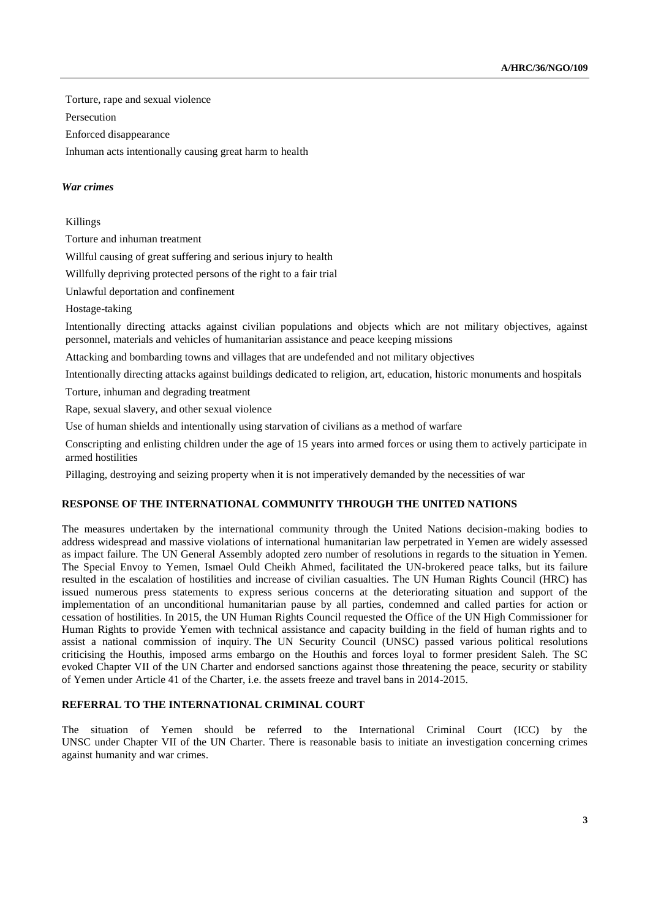Torture, rape and sexual violence

Persecution

Enforced disappearance

Inhuman acts intentionally causing great harm to health

# *War crimes*

# Killings

Torture and inhuman treatment

Willful causing of great suffering and serious injury to health

Willfully depriving protected persons of the right to a fair trial

Unlawful deportation and confinement

Hostage-taking

Intentionally directing attacks against civilian populations and objects which are not military objectives, against personnel, materials and vehicles of humanitarian assistance and peace keeping missions

Attacking and bombarding towns and villages that are undefended and not military objectives

Intentionally directing attacks against buildings dedicated to religion, art, education, historic monuments and hospitals

Torture, inhuman and degrading treatment

Rape, sexual slavery, and other sexual violence

Use of human shields and intentionally using starvation of civilians as a method of warfare

Conscripting and enlisting children under the age of 15 years into armed forces or using them to actively participate in armed hostilities

Pillaging, destroying and seizing property when it is not imperatively demanded by the necessities of war

# **RESPONSE OF THE INTERNATIONAL COMMUNITY THROUGH THE UNITED NATIONS**

The measures undertaken by the international community through the United Nations decision-making bodies to address widespread and massive violations of international humanitarian law perpetrated in Yemen are widely assessed as impact failure. The UN General Assembly adopted zero number of resolutions in regards to the situation in Yemen. The Special Envoy to Yemen, Ismael Ould Cheikh Ahmed, facilitated the UN-brokered peace talks, but its failure resulted in the escalation of hostilities and increase of civilian casualties. The UN Human Rights Council (HRC) has issued numerous press statements to express serious concerns at the deteriorating situation and support of the implementation of an unconditional humanitarian pause by all parties, condemned and called parties for action or cessation of hostilities. In 2015, the UN Human Rights Council requested the Office of the UN High Commissioner for Human Rights to provide Yemen with technical assistance and capacity building in the field of human rights and to assist a national commission of inquiry. The UN Security Council (UNSC) passed various political resolutions criticising the Houthis, imposed arms embargo on the Houthis and forces loyal to former president Saleh. The SC evoked Chapter VII of the UN Charter and endorsed sanctions against those threatening the peace, security or stability of Yemen under Article 41 of the Charter, i.e. the assets freeze and travel bans in 2014-2015.

# **REFERRAL TO THE INTERNATIONAL CRIMINAL COURT**

The situation of Yemen should be referred to the International Criminal Court (ICC) by the UNSC under Chapter VII of the UN Charter. There is reasonable basis to initiate an investigation concerning crimes against humanity and war crimes.